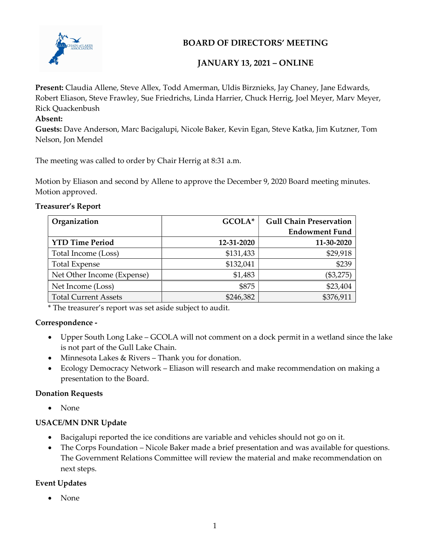

## BOARD OF DIRECTORS' MEETING

## JANUARY 13, 2021 – ONLINE

Present: Claudia Allene, Steve Allex, Todd Amerman, Uldis Birznieks, Jay Chaney, Jane Edwards, Robert Eliason, Steve Frawley, Sue Friedrichs, Linda Harrier, Chuck Herrig, Joel Meyer, Marv Meyer, Rick Quackenbush

#### Absent:

Guests: Dave Anderson, Marc Bacigalupi, Nicole Baker, Kevin Egan, Steve Katka, Jim Kutzner, Tom Nelson, Jon Mendel

The meeting was called to order by Chair Herrig at 8:31 a.m.

Motion by Eliason and second by Allene to approve the December 9, 2020 Board meeting minutes. Motion approved.

#### Treasurer's Report

| Organization                | GCOLA*     | <b>Gull Chain Preservation</b> |
|-----------------------------|------------|--------------------------------|
|                             |            | <b>Endowment Fund</b>          |
| <b>YTD Time Period</b>      | 12-31-2020 | 11-30-2020                     |
| Total Income (Loss)         | \$131,433  | \$29,918                       |
| <b>Total Expense</b>        | \$132,041  | \$239                          |
| Net Other Income (Expense)  | \$1,483    | (\$3,275)                      |
| Net Income (Loss)           | \$875      | \$23,404                       |
| <b>Total Current Assets</b> | \$246,382  | \$376,911                      |

\* The treasurer's report was set aside subject to audit.

#### Correspondence -

- Upper South Long Lake GCOLA will not comment on a dock permit in a wetland since the lake is not part of the Gull Lake Chain.
- Minnesota Lakes & Rivers Thank you for donation.
- Ecology Democracy Network Eliason will research and make recommendation on making a presentation to the Board.

#### Donation Requests

None

#### USACE/MN DNR Update

- Bacigalupi reported the ice conditions are variable and vehicles should not go on it.
- The Corps Foundation Nicole Baker made a brief presentation and was available for questions. The Government Relations Committee will review the material and make recommendation on next steps.

#### Event Updates

• None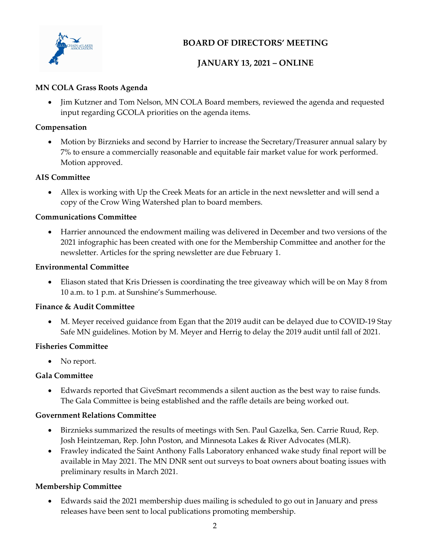

## BOARD OF DIRECTORS' MEETING

## JANUARY 13, 2021 – ONLINE

#### MN COLA Grass Roots Agenda

• Jim Kutzner and Tom Nelson, MN COLA Board members, reviewed the agenda and requested input regarding GCOLA priorities on the agenda items.

#### Compensation

 Motion by Birznieks and second by Harrier to increase the Secretary/Treasurer annual salary by 7% to ensure a commercially reasonable and equitable fair market value for work performed. Motion approved.

#### AIS Committee

 Allex is working with Up the Creek Meats for an article in the next newsletter and will send a copy of the Crow Wing Watershed plan to board members.

#### Communications Committee

 Harrier announced the endowment mailing was delivered in December and two versions of the 2021 infographic has been created with one for the Membership Committee and another for the newsletter. Articles for the spring newsletter are due February 1.

#### Environmental Committee

 Eliason stated that Kris Driessen is coordinating the tree giveaway which will be on May 8 from 10 a.m. to 1 p.m. at Sunshine's Summerhouse.

#### Finance & Audit Committee

 M. Meyer received guidance from Egan that the 2019 audit can be delayed due to COVID-19 Stay Safe MN guidelines. Motion by M. Meyer and Herrig to delay the 2019 audit until fall of 2021.

#### Fisheries Committee

• No report.

#### Gala Committee

 Edwards reported that GiveSmart recommends a silent auction as the best way to raise funds. The Gala Committee is being established and the raffle details are being worked out.

#### Government Relations Committee

- Birznieks summarized the results of meetings with Sen. Paul Gazelka, Sen. Carrie Ruud, Rep. Josh Heintzeman, Rep. John Poston, and Minnesota Lakes & River Advocates (MLR).
- Frawley indicated the Saint Anthony Falls Laboratory enhanced wake study final report will be available in May 2021. The MN DNR sent out surveys to boat owners about boating issues with preliminary results in March 2021.

#### Membership Committee

 Edwards said the 2021 membership dues mailing is scheduled to go out in January and press releases have been sent to local publications promoting membership.